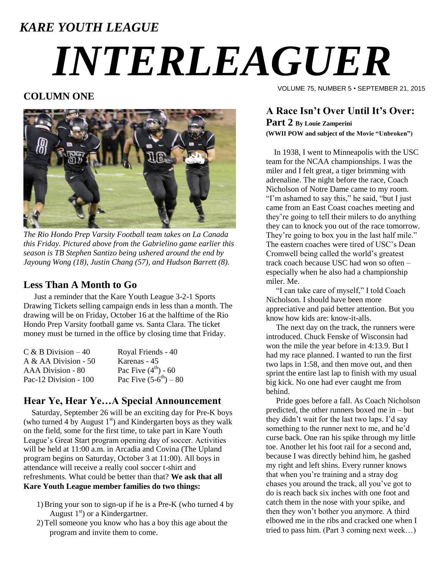# *KARE YOUTH LEAGUE INTERLEAGUER*

#### **COLUMN ONE**



*The Rio Hondo Prep Varsity Football team takes on La Canada this Friday. Pictured above from the Gabrielino game earlier this season is TB Stephen Santizo being ushered around the end by Jayoung Wong (18), Justin Chang (57), and Hudson Barrett (8).*

#### **Less Than A Month to Go**

Just a reminder that the Kare Youth League 3-2-1 Sports Drawing Tickets selling campaign ends in less than a month. The drawing will be on Friday, October 16 at the halftime of the Rio Hondo Prep Varsity football game vs. Santa Clara. The ticket money must be turned in the office by closing time that Friday.

| $C & B$ Division $-40$ | Royal Friends - 40         |
|------------------------|----------------------------|
| A & AA Division $-50$  | Karenas - 45               |
| AAA Division - 80      | Pac Five $(4^{th}) - 60$   |
| Pac-12 Division - 100  | Pac Five $(5-6^{th}) - 80$ |

### **Hear Ye, Hear Ye…A Special Announcement**

 Saturday, September 26 will be an exciting day for Pre-K boys (who turned 4 by August  $1<sup>st</sup>$ ) and Kindergarten boys as they walk on the field, some for the first time, to take part in Kare Youth League's Great Start program opening day of soccer. Activities will be held at 11:00 a.m. in Arcadia and Covina (The Upland program begins on Saturday, October 3 at 11:00). All boys in attendance will receive a really cool soccer t-shirt and refreshments. What could be better than that? **We ask that all Kare Youth League member families do two things:**

- 1)Bring your son to sign-up if he is a Pre-K (who turned 4 by August  $1<sup>st</sup>$  or a Kindergartner.
- 2)Tell someone you know who has a boy this age about the program and invite them to come.

VOLUME 75, NUMBER 5 • SEPTEMBER 21, 2015

## **A Race Isn't Over Until It's Over:**

**Part 2 By Louie Zamperini (WWII POW and subject of the Movie "Unbroken")**

 In 1938, I went to Minneapolis with the USC team for the NCAA championships. I was the miler and I felt great, a tiger brimming with adrenaline. The night before the race, Coach Nicholson of Notre Dame came to my room. "I'm ashamed to say this," he said, "but I just came from an East Coast coaches meeting and they're going to tell their milers to do anything they can to knock you out of the race tomorrow. They're going to box you in the last half mile." The eastern coaches were tired of USC's Dean Cromwell being called the world's greatest track coach because USC had won so often – especially when he also had a championship miler. Me.

 "I can take care of myself," I told Coach Nicholson. I should have been more appreciative and paid better attention. But you know how kids are: know-it-alls.

 The next day on the track, the runners were introduced. Chuck Fenske of Wisconsin had won the mile the year before in 4:13.9. But I had my race planned. I wanted to run the first two laps in 1:58, and then move out, and then sprint the entire last lap to finish with my usual big kick. No one had ever caught me from behind.

 Pride goes before a fall. As Coach Nicholson predicted, the other runners boxed me in – but they didn't wait for the last two laps. I'd say something to the runner next to me, and he'd curse back. One ran his spike through my little toe. Another let his foot rail for a second and, because I was directly behind him, he gashed my right and left shins. Every runner knows that when you're training and a stray dog chases you around the track, all you've got to do is reach back six inches with one foot and catch them in the nose with your spike, and then they won't bother you anymore. A third elbowed me in the ribs and cracked one when I tried to pass him. (Part 3 coming next week…)